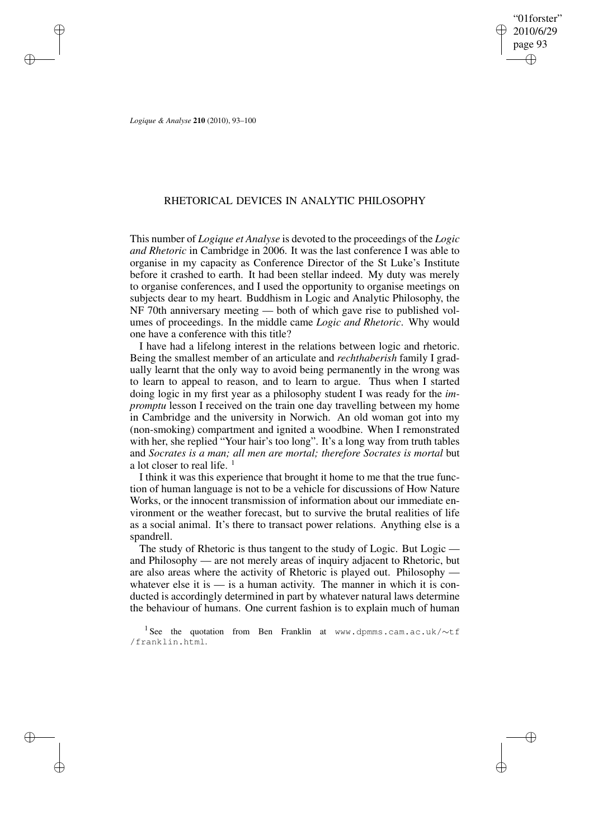"01forster" 2010/6/29 page 93 ✐ ✐

✐

✐

*Logique & Analyse* **210** (2010), 93–100

✐

✐

✐

✐

# RHETORICAL DEVICES IN ANALYTIC PHILOSOPHY

This number of *Logique et Analyse* is devoted to the proceedings of the *Logic and Rhetoric* in Cambridge in 2006. It was the last conference I was able to organise in my capacity as Conference Director of the St Luke's Institute before it crashed to earth. It had been stellar indeed. My duty was merely to organise conferences, and I used the opportunity to organise meetings on subjects dear to my heart. Buddhism in Logic and Analytic Philosophy, the NF 70th anniversary meeting — both of which gave rise to published volumes of proceedings. In the middle came *Logic and Rhetoric*. Why would one have a conference with this title?

I have had a lifelong interest in the relations between logic and rhetoric. Being the smallest member of an articulate and *rechthaberish* family I gradually learnt that the only way to avoid being permanently in the wrong was to learn to appeal to reason, and to learn to argue. Thus when I started doing logic in my first year as a philosophy student I was ready for the *impromptu* lesson I received on the train one day travelling between my home in Cambridge and the university in Norwich. An old woman got into my (non-smoking) compartment and ignited a woodbine. When I remonstrated with her, she replied "Your hair's too long". It's a long way from truth tables and *Socrates is a man; all men are mortal; therefore Socrates is mortal* but a lot closer to real life.  $<sup>1</sup>$ </sup>

I think it was this experience that brought it home to me that the true function of human language is not to be a vehicle for discussions of How Nature Works, or the innocent transmission of information about our immediate environment or the weather forecast, but to survive the brutal realities of life as a social animal. It's there to transact power relations. Anything else is a spandrell.

The study of Rhetoric is thus tangent to the study of Logic. But Logic and Philosophy — are not merely areas of inquiry adjacent to Rhetoric, but are also areas where the activity of Rhetoric is played out. Philosophy whatever else it is  $\frac{1}{x}$  is a human activity. The manner in which it is conducted is accordingly determined in part by whatever natural laws determine the behaviour of humans. One current fashion is to explain much of human

1 See the quotation from Ben Franklin at www.dpmms.cam.ac.uk/∼tf /franklin.html.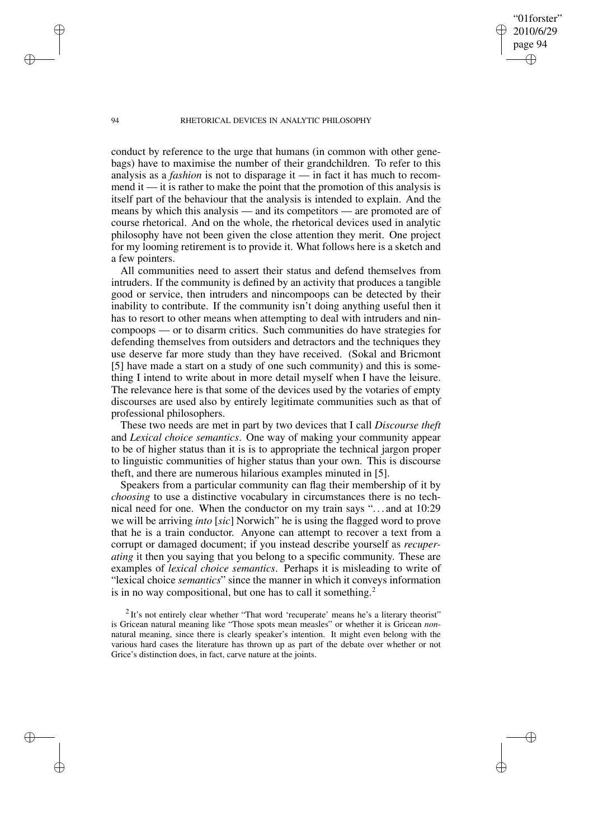"01forster" 2010/6/29 page 94

✐

✐

✐

✐

conduct by reference to the urge that humans (in common with other genebags) have to maximise the number of their grandchildren. To refer to this analysis as a *fashion* is not to disparage it — in fact it has much to recommend it  $\frac{d}{dx}$  it is rather to make the point that the promotion of this analysis is itself part of the behaviour that the analysis is intended to explain. And the means by which this analysis — and its competitors — are promoted are of course rhetorical. And on the whole, the rhetorical devices used in analytic philosophy have not been given the close attention they merit. One project for my looming retirement is to provide it. What follows here is a sketch and a few pointers.

All communities need to assert their status and defend themselves from intruders. If the community is defined by an activity that produces a tangible good or service, then intruders and nincompoops can be detected by their inability to contribute. If the community isn't doing anything useful then it has to resort to other means when attempting to deal with intruders and nincompoops — or to disarm critics. Such communities do have strategies for defending themselves from outsiders and detractors and the techniques they use deserve far more study than they have received. (Sokal and Bricmont [5] have made a start on a study of one such community) and this is something I intend to write about in more detail myself when I have the leisure. The relevance here is that some of the devices used by the votaries of empty discourses are used also by entirely legitimate communities such as that of professional philosophers.

These two needs are met in part by two devices that I call *Discourse theft* and *Lexical choice semantics*. One way of making your community appear to be of higher status than it is is to appropriate the technical jargon proper to linguistic communities of higher status than your own. This is discourse theft, and there are numerous hilarious examples minuted in [5].

Speakers from a particular community can flag their membership of it by *choosing* to use a distinctive vocabulary in circumstances there is no technical need for one. When the conductor on my train says ". . . and at 10:29 we will be arriving *into* [*sic*] Norwich" he is using the flagged word to prove that he is a train conductor. Anyone can attempt to recover a text from a corrupt or damaged document; if you instead describe yourself as *recuperating* it then you saying that you belong to a specific community. These are examples of *lexical choice semantics*. Perhaps it is misleading to write of "lexical choice *semantics*" since the manner in which it conveys information is in no way compositional, but one has to call it something.<sup>2</sup>

 $2$ It's not entirely clear whether "That word 'recuperate' means he's a literary theorist" is Gricean natural meaning like "Those spots mean measles" or whether it is Gricean *non*natural meaning, since there is clearly speaker's intention. It might even belong with the various hard cases the literature has thrown up as part of the debate over whether or not Grice's distinction does, in fact, carve nature at the joints.

✐

✐

✐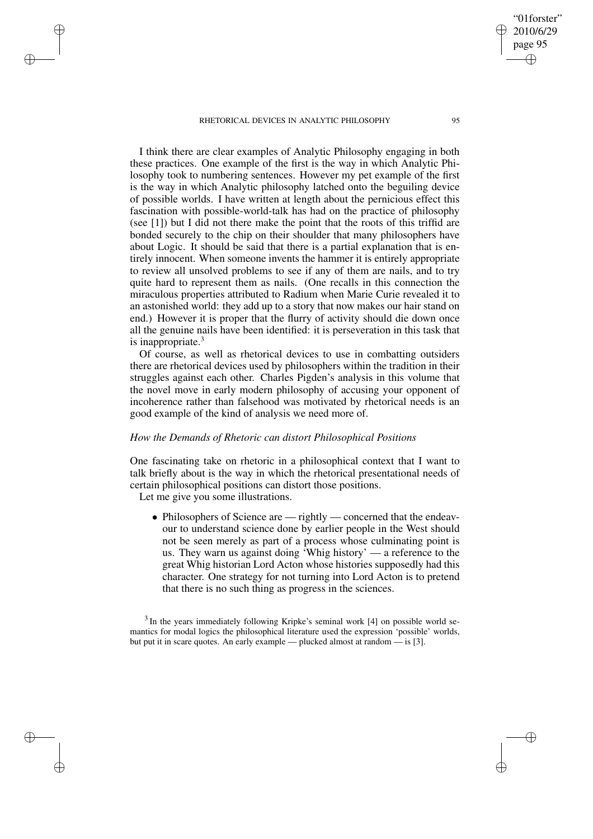I think there are clear examples of Analytic Philosophy engaging in both these practices. One example of the first is the way in which Analytic Philosophy took to numbering sentences. However my pet example of the first is the way in which Analytic philosophy latched onto the beguiling device of possible worlds. I have written at length about the pernicious effect this fascination with possible-world-talk has had on the practice of philosophy (see [1]) but I did not there make the point that the roots of this triffid are bonded securely to the chip on their shoulder that many philosophers have about Logic. It should be said that there is a partial explanation that is entirely innocent. When someone invents the hammer it is entirely appropriate to review all unsolved problems to see if any of them are nails, and to try quite hard to represent them as nails. (One recalls in this connection the miraculous properties attributed to Radium when Marie Curie revealed it to an astonished world: they add up to a story that now makes our hair stand on end.) However it is proper that the flurry of activity should die down once all the genuine nails have been identified: it is perseveration in this task that is inappropriate.<sup>3</sup>

Of course, as well as rhetorical devices to use in combatting outsiders there are rhetorical devices used by philosophers within the tradition in their struggles against each other. Charles Pigden's analysis in this volume that the novel move in early modern philosophy of accusing your opponent of incoherence rather than falsehood was motivated by rhetorical needs is an good example of the kind of analysis we need more of.

### *How the Demands of Rhetoric can distort Philosophical Positions*

One fascinating take on rhetoric in a philosophical context that I want to talk briefly about is the way in which the rhetorical presentational needs of certain philosophical positions can distort those positions.

Let me give you some illustrations.

✐

✐

✐

✐

• Philosophers of Science are — rightly — concerned that the endeavour to understand science done by earlier people in the West should not be seen merely as part of a process whose culminating point is us. They warn us against doing 'Whig history' — a reference to the great Whig historian Lord Acton whose histories supposedly had this character. One strategy for not turning into Lord Acton is to pretend that there is no such thing as progress in the sciences.

<sup>3</sup> In the years immediately following Kripke's seminal work [4] on possible world semantics for modal logics the philosophical literature used the expression 'possible' worlds, but put it in scare quotes. An early example — plucked almost at random — is [3].

"01forster" 2010/6/29 page 95

✐

✐

✐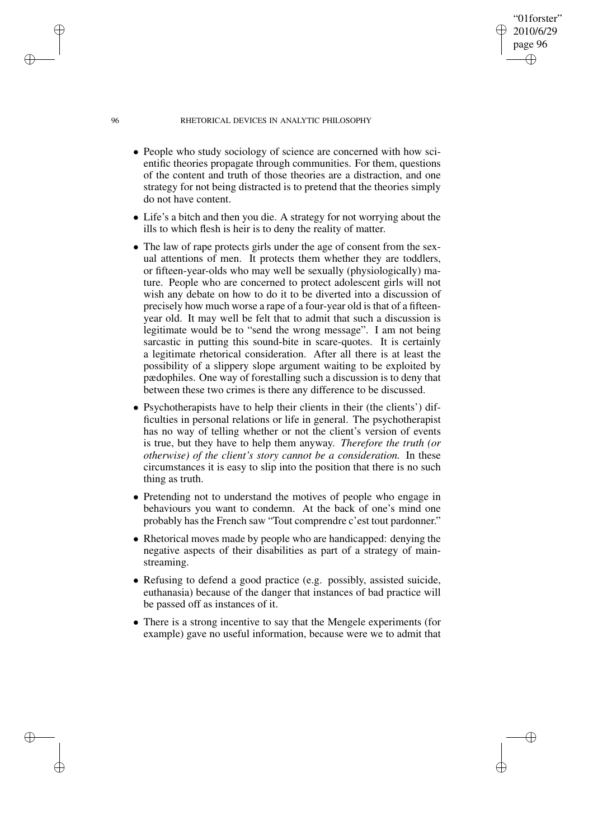"01forster" 2010/6/29 page 96

✐

✐

✐

✐

- People who study sociology of science are concerned with how scientific theories propagate through communities. For them, questions of the content and truth of those theories are a distraction, and one strategy for not being distracted is to pretend that the theories simply do not have content.
- Life's a bitch and then you die. A strategy for not worrying about the ills to which flesh is heir is to deny the reality of matter.
- The law of rape protects girls under the age of consent from the sexual attentions of men. It protects them whether they are toddlers, or fifteen-year-olds who may well be sexually (physiologically) mature. People who are concerned to protect adolescent girls will not wish any debate on how to do it to be diverted into a discussion of precisely how much worse a rape of a four-year old is that of a fifteenyear old. It may well be felt that to admit that such a discussion is legitimate would be to "send the wrong message". I am not being sarcastic in putting this sound-bite in scare-quotes. It is certainly a legitimate rhetorical consideration. After all there is at least the possibility of a slippery slope argument waiting to be exploited by pædophiles. One way of forestalling such a discussion is to deny that between these two crimes is there any difference to be discussed.
- Psychotherapists have to help their clients in their (the clients') difficulties in personal relations or life in general. The psychotherapist has no way of telling whether or not the client's version of events is true, but they have to help them anyway. *Therefore the truth (or otherwise) of the client's story cannot be a consideration.* In these circumstances it is easy to slip into the position that there is no such thing as truth.
- Pretending not to understand the motives of people who engage in behaviours you want to condemn. At the back of one's mind one probably has the French saw "Tout comprendre c'est tout pardonner."
- Rhetorical moves made by people who are handicapped: denying the negative aspects of their disabilities as part of a strategy of mainstreaming.
- Refusing to defend a good practice (e.g. possibly, assisted suicide, euthanasia) because of the danger that instances of bad practice will be passed off as instances of it.
- There is a strong incentive to say that the Mengele experiments (for example) gave no useful information, because were we to admit that

✐

✐

✐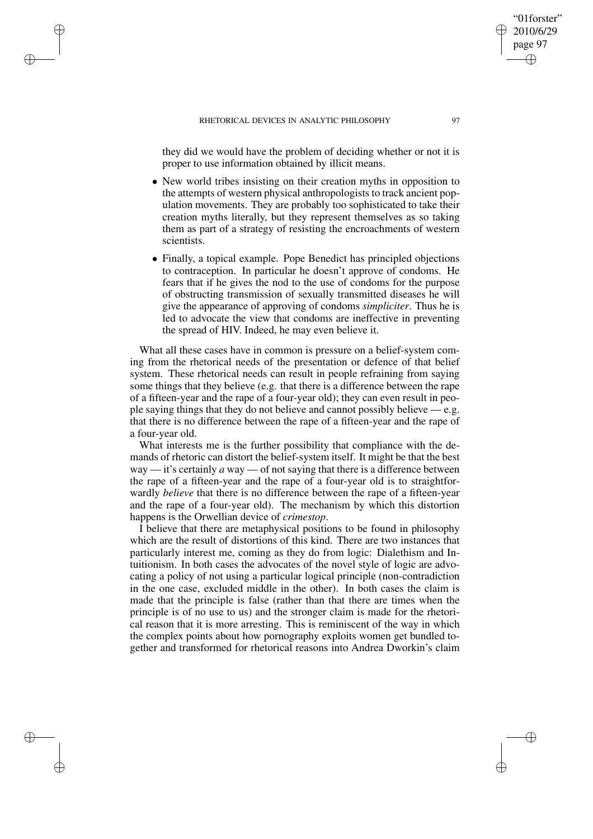✐

✐

✐

✐

they did we would have the problem of deciding whether or not it is proper to use information obtained by illicit means.

- New world tribes insisting on their creation myths in opposition to the attempts of western physical anthropologists to track ancient population movements. They are probably too sophisticated to take their creation myths literally, but they represent themselves as so taking them as part of a strategy of resisting the encroachments of western scientists.
- Finally, a topical example. Pope Benedict has principled objections to contraception. In particular he doesn't approve of condoms. He fears that if he gives the nod to the use of condoms for the purpose of obstructing transmission of sexually transmitted diseases he will give the appearance of approving of condoms *simpliciter*. Thus he is led to advocate the view that condoms are ineffective in preventing the spread of HIV. Indeed, he may even believe it.

What all these cases have in common is pressure on a belief-system coming from the rhetorical needs of the presentation or defence of that belief system. These rhetorical needs can result in people refraining from saying some things that they believe (e.g. that there is a difference between the rape of a fifteen-year and the rape of a four-year old); they can even result in people saying things that they do not believe and cannot possibly believe — e.g. that there is no difference between the rape of a fifteen-year and the rape of a four-year old.

What interests me is the further possibility that compliance with the demands of rhetoric can distort the belief-system itself. It might be that the best way — it's certainly *a* way — of not saying that there is a difference between the rape of a fifteen-year and the rape of a four-year old is to straightforwardly *believe* that there is no difference between the rape of a fifteen-year and the rape of a four-year old). The mechanism by which this distortion happens is the Orwellian device of *crimestop*.

I believe that there are metaphysical positions to be found in philosophy which are the result of distortions of this kind. There are two instances that particularly interest me, coming as they do from logic: Dialethism and Intuitionism. In both cases the advocates of the novel style of logic are advocating a policy of not using a particular logical principle (non-contradiction in the one case, excluded middle in the other). In both cases the claim is made that the principle is false (rather than that there are times when the principle is of no use to us) and the stronger claim is made for the rhetorical reason that it is more arresting. This is reminiscent of the way in which the complex points about how pornography exploits women get bundled together and transformed for rhetorical reasons into Andrea Dworkin's claim

"01forster" 2010/6/29 page 97

✐

✐

✐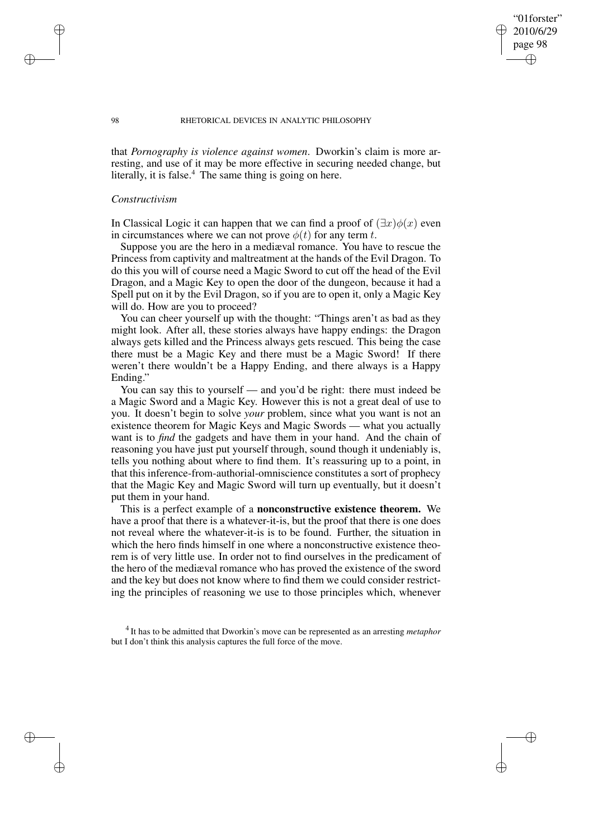"01forster" 2010/6/29 page 98

✐

✐

✐

✐

that *Pornography is violence against women*. Dworkin's claim is more arresting, and use of it may be more effective in securing needed change, but literally, it is false.<sup>4</sup> The same thing is going on here.

### *Constructivism*

In Classical Logic it can happen that we can find a proof of  $(\exists x)\phi(x)$  even in circumstances where we can not prove  $\phi(t)$  for any term t.

Suppose you are the hero in a mediæval romance. You have to rescue the Princess from captivity and maltreatment at the hands of the Evil Dragon. To do this you will of course need a Magic Sword to cut off the head of the Evil Dragon, and a Magic Key to open the door of the dungeon, because it had a Spell put on it by the Evil Dragon, so if you are to open it, only a Magic Key will do. How are you to proceed?

You can cheer yourself up with the thought: "Things aren't as bad as they might look. After all, these stories always have happy endings: the Dragon always gets killed and the Princess always gets rescued. This being the case there must be a Magic Key and there must be a Magic Sword! If there weren't there wouldn't be a Happy Ending, and there always is a Happy Ending."

You can say this to yourself — and you'd be right: there must indeed be a Magic Sword and a Magic Key. However this is not a great deal of use to you. It doesn't begin to solve *your* problem, since what you want is not an existence theorem for Magic Keys and Magic Swords — what you actually want is to *find* the gadgets and have them in your hand. And the chain of reasoning you have just put yourself through, sound though it undeniably is, tells you nothing about where to find them. It's reassuring up to a point, in that this inference-from-authorial-omniscience constitutes a sort of prophecy that the Magic Key and Magic Sword will turn up eventually, but it doesn't put them in your hand.

This is a perfect example of a **nonconstructive existence theorem.** We have a proof that there is a whatever-it-is, but the proof that there is one does not reveal where the whatever-it-is is to be found. Further, the situation in which the hero finds himself in one where a nonconstructive existence theorem is of very little use. In order not to find ourselves in the predicament of the hero of the mediæval romance who has proved the existence of the sword and the key but does not know where to find them we could consider restricting the principles of reasoning we use to those principles which, whenever

4 It has to be admitted that Dworkin's move can be represented as an arresting *metaphor* but I don't think this analysis captures the full force of the move.

✐

✐

✐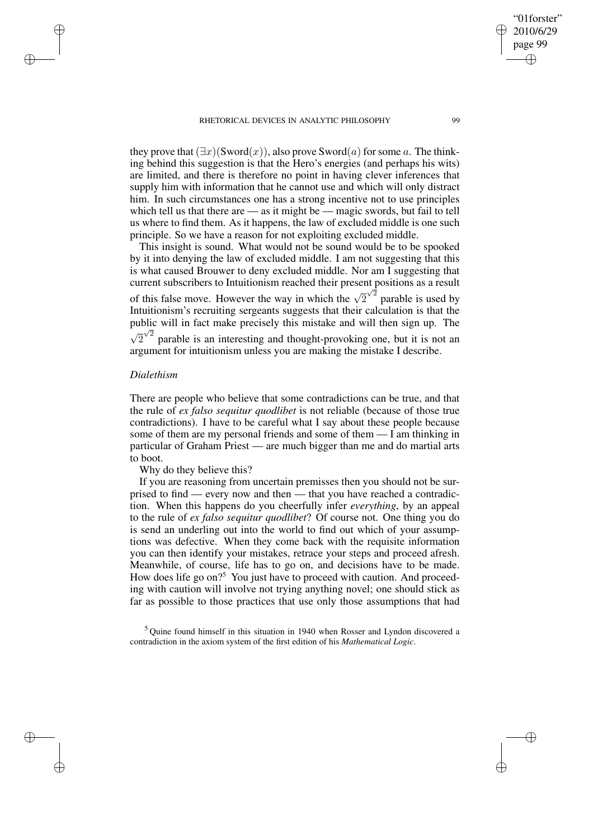they prove that  $(\exists x)(\text{Sword}(x))$ , also prove Sword $(a)$  for some a. The thinking behind this suggestion is that the Hero's energies (and perhaps his wits) are limited, and there is therefore no point in having clever inferences that supply him with information that he cannot use and which will only distract him. In such circumstances one has a strong incentive not to use principles which tell us that there are — as it might be — magic swords, but fail to tell us where to find them. As it happens, the law of excluded middle is one such principle. So we have a reason for not exploiting excluded middle.

This insight is sound. What would not be sound would be to be spooked by it into denying the law of excluded middle. I am not suggesting that this is what caused Brouwer to deny excluded middle. Nor am I suggesting that current subscribers to Intuitionism reached their present positions as a result of this false move. However the way in which the  $\sqrt{2}^{\sqrt{2}}$  parable is used by Intuitionism's recruiting sergeants suggests that their calculation is that the public will in fact make precisely this mistake and will then sign up. The  $\sqrt{2}^{\sqrt{2}}$  parable is an interesting and thought-provoking one, but it is not an argument for intuitionism unless you are making the mistake I describe.

## *Dialethism*

✐

✐

✐

✐

There are people who believe that some contradictions can be true, and that the rule of *ex falso sequitur quodlibet* is not reliable (because of those true contradictions). I have to be careful what I say about these people because some of them are my personal friends and some of them — I am thinking in particular of Graham Priest — are much bigger than me and do martial arts to boot.

Why do they believe this?

If you are reasoning from uncertain premisses then you should not be surprised to find — every now and then — that you have reached a contradiction. When this happens do you cheerfully infer *everything*, by an appeal to the rule of *ex falso sequitur quodlibet*? Of course not. One thing you do is send an underling out into the world to find out which of your assumptions was defective. When they come back with the requisite information you can then identify your mistakes, retrace your steps and proceed afresh. Meanwhile, of course, life has to go on, and decisions have to be made. How does life go on?<sup>5</sup> You just have to proceed with caution. And proceeding with caution will involve not trying anything novel; one should stick as far as possible to those practices that use only those assumptions that had

<sup>5</sup> Quine found himself in this situation in 1940 when Rosser and Lyndon discovered a contradiction in the axiom system of the first edition of his *Mathematical Logic*.

"01forster" 2010/6/29 page 99

✐

✐

✐